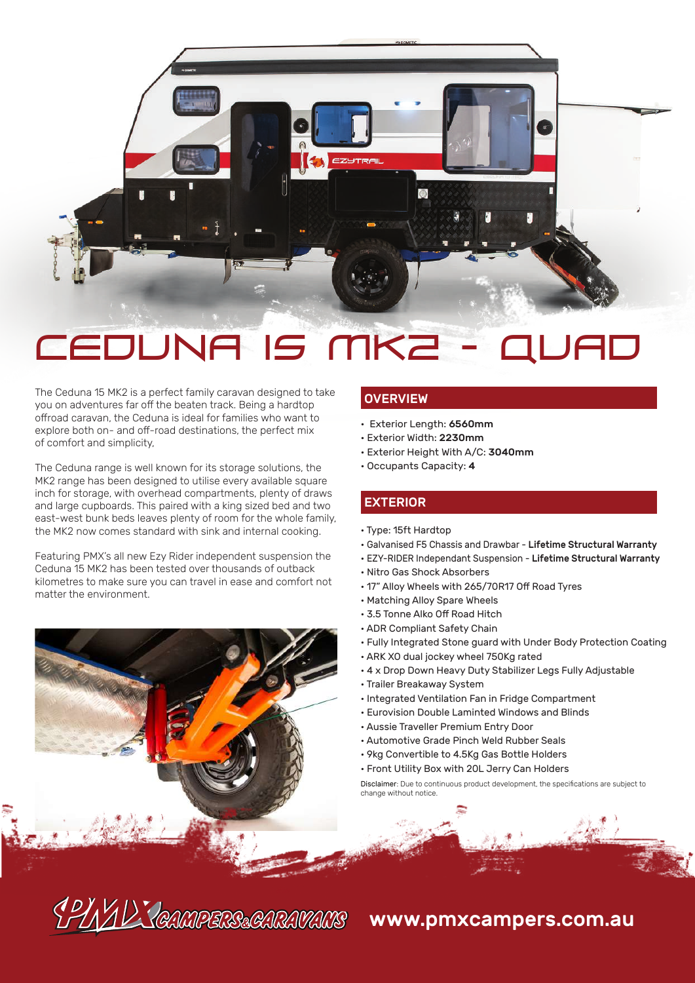

The Ceduna 15 MK2 is a perfect family caravan designed to take you on adventures far off the beaten track. Being a hardtop offroad caravan, the Ceduna is ideal for families who want to explore both on- and off-road destinations, the perfect mix of comfort and simplicity,

The Ceduna range is well known for its storage solutions, the MK2 range has been designed to utilise every available square inch for storage, with overhead compartments, plenty of draws and large cupboards. This paired with a king sized bed and two east-west bunk beds leaves plenty of room for the whole family, the MK2 now comes standard with sink and internal cooking.

Featuring PMX's all new Ezy Rider independent suspension the Ceduna 15 MK2 has been tested over thousands of outback kilometres to make sure you can travel in ease and comfort not matter the environment.



#### **OVERVIEW**

- Exterior Length: 6560mm
- Exterior Width: 2230mm
- Exterior Height With A/C: 3040mm
- Occupants Capacity: 4

## EXTERIOR

- Type: 15ft Hardtop
- Galvanised F5 Chassis and Drawbar Lifetime Structural Warranty
- EZY-RIDER Independant Suspension Lifetime Structural Warranty
- Nitro Gas Shock Absorbers
- 17" Alloy Wheels with 265/70R17 Off Road Tyres
- Matching Alloy Spare Wheels
- 3.5 Tonne Alko Off Road Hitch
- ADR Compliant Safety Chain
- Fully Integrated Stone guard with Under Body Protection Coating • ARK XO dual jockey wheel 750Kg rated
- 4 x Drop Down Heavy Duty Stabilizer Legs Fully Adjustable
- Trailer Breakaway System
- Integrated Ventilation Fan in Fridge Compartment
- Eurovision Double Laminted Windows and Blinds
- Aussie Traveller Premium Entry Door
- Automotive Grade Pinch Weld Rubber Seals
- 9kg Convertible to 4.5Kg Gas Bottle Holders
- Front Utility Box with 20L Jerry Can Holders

Disclaimer: Due to continuous product development, the specifications are subject to change without notice.

# CPINIL CAMPERS&CARAVANS www.pmxcampers.com.au